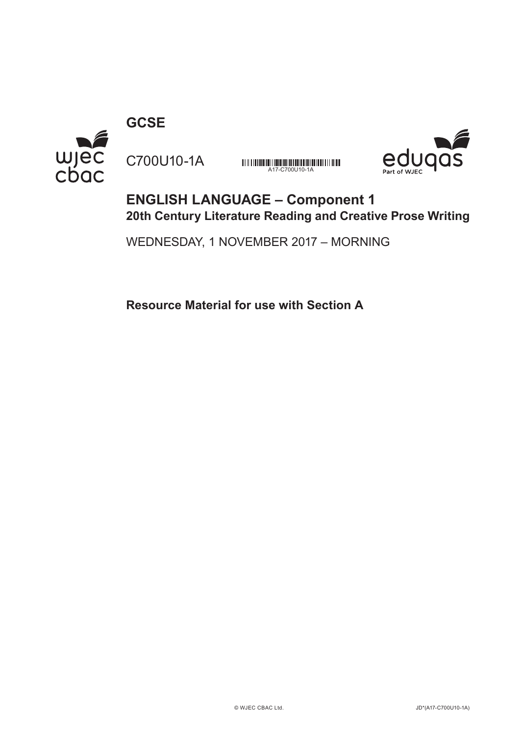**GCSE**

C700U10-1A



**MINIMUMINIMUMINIMUMINIMUMINIMUM**<br>A17-C700U10-1A



## **ENGLISH LANGUAGE – Component 1 20th Century Literature Reading and Creative Prose Writing**

WEDNESDAY, 1 NOVEMBER 2017 – MORNING

**Resource Material for use with Section A**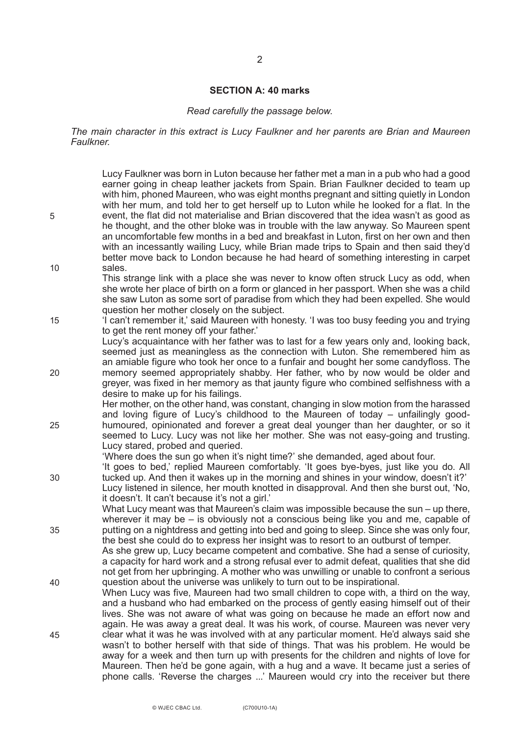## **SECTION A: 40 marks**

## *Read carefully the passage below.*

*The main character in this extract is Lucy Faulkner and her parents are Brian and Maureen Faulkner.*

|    | Lucy Faulkner was born in Luton because her father met a man in a pub who had a good<br>earner going in cheap leather jackets from Spain. Brian Faulkner decided to team up<br>with him, phoned Maureen, who was eight months pregnant and sitting quietly in London<br>with her mum, and told her to get herself up to Luton while he looked for a flat. In the                                                                                                                                                                                          |
|----|-----------------------------------------------------------------------------------------------------------------------------------------------------------------------------------------------------------------------------------------------------------------------------------------------------------------------------------------------------------------------------------------------------------------------------------------------------------------------------------------------------------------------------------------------------------|
| 5  | event, the flat did not materialise and Brian discovered that the idea wasn't as good as<br>he thought, and the other bloke was in trouble with the law anyway. So Maureen spent<br>an uncomfortable few months in a bed and breakfast in Luton, first on her own and then<br>with an incessantly wailing Lucy, while Brian made trips to Spain and then said they'd<br>better move back to London because he had heard of something interesting in carpet                                                                                                |
| 10 | sales.<br>This strange link with a place she was never to know often struck Lucy as odd, when<br>she wrote her place of birth on a form or glanced in her passport. When she was a child<br>she saw Luton as some sort of paradise from which they had been expelled. She would<br>question her mother closely on the subject.                                                                                                                                                                                                                            |
| 15 | 'I can't remember it,' said Maureen with honesty. 'I was too busy feeding you and trying<br>to get the rent money off your father.<br>Lucy's acquaintance with her father was to last for a few years only and, looking back,                                                                                                                                                                                                                                                                                                                             |
| 20 | seemed just as meaningless as the connection with Luton. She remembered him as<br>an amiable figure who took her once to a funfair and bought her some candyfloss. The<br>memory seemed appropriately shabby. Her father, who by now would be older and<br>greyer, was fixed in her memory as that jaunty figure who combined selfishness with a<br>desire to make up for his failings.                                                                                                                                                                   |
| 25 | Her mother, on the other hand, was constant, changing in slow motion from the harassed<br>and loving figure of Lucy's childhood to the Maureen of today – unfailingly good-<br>humoured, opinionated and forever a great deal younger than her daughter, or so it<br>seemed to Lucy. Lucy was not like her mother. She was not easy-going and trusting.                                                                                                                                                                                                   |
| 30 | Lucy stared, probed and queried.<br>'Where does the sun go when it's night time?' she demanded, aged about four.<br>'It goes to bed,' replied Maureen comfortably. 'It goes bye-byes, just like you do. All<br>tucked up. And then it wakes up in the morning and shines in your window, doesn't it?'                                                                                                                                                                                                                                                     |
|    | Lucy listened in silence, her mouth knotted in disapproval. And then she burst out, 'No,<br>it doesn't. It can't because it's not a girl.'<br>What Lucy meant was that Maureen's claim was impossible because the sun – up there,                                                                                                                                                                                                                                                                                                                         |
| 35 | wherever it may be $-$ is obviously not a conscious being like you and me, capable of<br>putting on a nightdress and getting into bed and going to sleep. Since she was only four,<br>the best she could do to express her insight was to resort to an outburst of temper.<br>As she grew up, Lucy became competent and combative. She had a sense of curiosity,<br>a capacity for hard work and a strong refusal ever to admit defeat, qualities that she did<br>not get from her upbringing. A mother who was unwilling or unable to confront a serious |
| 40 | question about the universe was unlikely to turn out to be inspirational.<br>When Lucy was five, Maureen had two small children to cope with, a third on the way,<br>and a husband who had embarked on the process of gently easing himself out of their<br>lives. She was not aware of what was going on because he made an effort now and                                                                                                                                                                                                               |
| 45 | again. He was away a great deal. It was his work, of course. Maureen was never very<br>clear what it was he was involved with at any particular moment. He'd always said she<br>wasn't to bother herself with that side of things. That was his problem. He would be<br>away for a week and then turn up with presents for the children and nights of love for<br>Maureen. Then he'd be gone again, with a hug and a wave. It became just a series of<br>phone calls. 'Reverse the charges ' Maureen would cry into the receiver but there                |